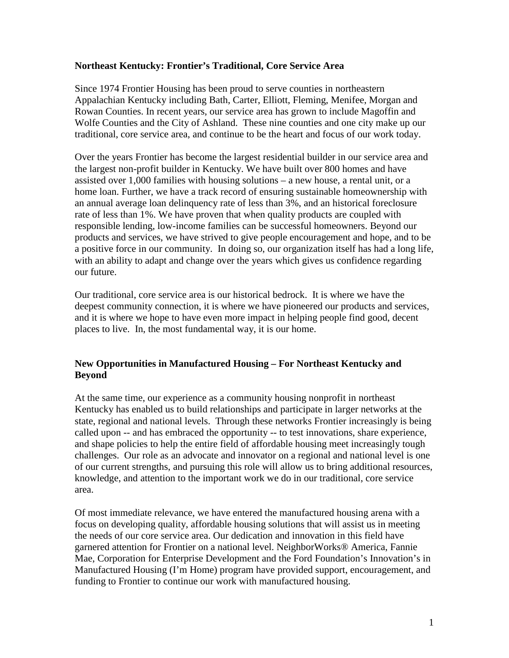## **Northeast Kentucky: Frontier's Traditional, Core Service Area**

Since 1974 Frontier Housing has been proud to serve counties in northeastern Appalachian Kentucky including Bath, Carter, Elliott, Fleming, Menifee, Morgan and Rowan Counties. In recent years, our service area has grown to include Magoffin and Wolfe Counties and the City of Ashland. These nine counties and one city make up our traditional, core service area, and continue to be the heart and focus of our work today.

Over the years Frontier has become the largest residential builder in our service area and the largest non-profit builder in Kentucky. We have built over 800 homes and have assisted over 1,000 families with housing solutions – a new house, a rental unit, or a home loan. Further, we have a track record of ensuring sustainable homeownership with an annual average loan delinquency rate of less than 3%, and an historical foreclosure rate of less than 1%. We have proven that when quality products are coupled with responsible lending, low-income families can be successful homeowners. Beyond our products and services, we have strived to give people encouragement and hope, and to be a positive force in our community. In doing so, our organization itself has had a long life, with an ability to adapt and change over the years which gives us confidence regarding our future.

Our traditional, core service area is our historical bedrock. It is where we have the deepest community connection, it is where we have pioneered our products and services, and it is where we hope to have even more impact in helping people find good, decent places to live. In, the most fundamental way, it is our home.

# **New Opportunities in Manufactured Housing – For Northeast Kentucky and Beyond**

At the same time, our experience as a community housing nonprofit in northeast Kentucky has enabled us to build relationships and participate in larger networks at the state, regional and national levels. Through these networks Frontier increasingly is being called upon -- and has embraced the opportunity -- to test innovations, share experience, and shape policies to help the entire field of affordable housing meet increasingly tough challenges. Our role as an advocate and innovator on a regional and national level is one of our current strengths, and pursuing this role will allow us to bring additional resources, knowledge, and attention to the important work we do in our traditional, core service area.

Of most immediate relevance, we have entered the manufactured housing arena with a focus on developing quality, affordable housing solutions that will assist us in meeting the needs of our core service area. Our dedication and innovation in this field have garnered attention for Frontier on a national level. NeighborWorks® America, Fannie Mae, Corporation for Enterprise Development and the Ford Foundation's Innovation's in Manufactured Housing (I'm Home) program have provided support, encouragement, and funding to Frontier to continue our work with manufactured housing.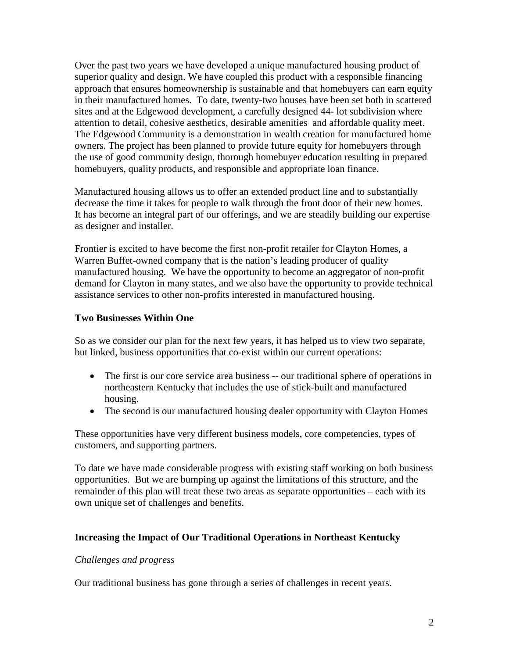Over the past two years we have developed a unique manufactured housing product of superior quality and design. We have coupled this product with a responsible financing approach that ensures homeownership is sustainable and that homebuyers can earn equity in their manufactured homes. To date, twenty-two houses have been set both in scattered sites and at the Edgewood development, a carefully designed 44- lot subdivision where attention to detail, cohesive aesthetics, desirable amenities and affordable quality meet. The Edgewood Community is a demonstration in wealth creation for manufactured home owners. The project has been planned to provide future equity for homebuyers through the use of good community design, thorough homebuyer education resulting in prepared homebuyers, quality products, and responsible and appropriate loan finance.

Manufactured housing allows us to offer an extended product line and to substantially decrease the time it takes for people to walk through the front door of their new homes. It has become an integral part of our offerings, and we are steadily building our expertise as designer and installer.

Frontier is excited to have become the first non-profit retailer for Clayton Homes, a Warren Buffet-owned company that is the nation's leading producer of quality manufactured housing. We have the opportunity to become an aggregator of non-profit demand for Clayton in many states, and we also have the opportunity to provide technical assistance services to other non-profits interested in manufactured housing.

# **Two Businesses Within One**

So as we consider our plan for the next few years, it has helped us to view two separate, but linked, business opportunities that co-exist within our current operations:

- The first is our core service area business -- our traditional sphere of operations in northeastern Kentucky that includes the use of stick-built and manufactured housing.
- The second is our manufactured housing dealer opportunity with Clayton Homes

These opportunities have very different business models, core competencies, types of customers, and supporting partners.

To date we have made considerable progress with existing staff working on both business opportunities. But we are bumping up against the limitations of this structure, and the remainder of this plan will treat these two areas as separate opportunities – each with its own unique set of challenges and benefits.

# **Increasing the Impact of Our Traditional Operations in Northeast Kentucky**

#### *Challenges and progress*

Our traditional business has gone through a series of challenges in recent years.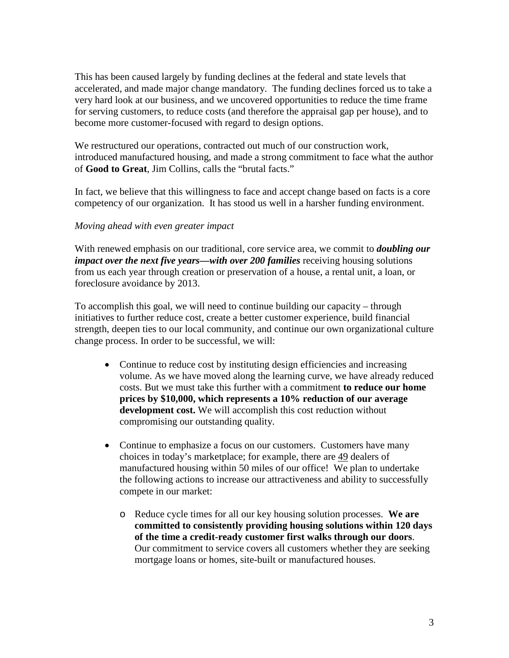This has been caused largely by funding declines at the federal and state levels that accelerated, and made major change mandatory. The funding declines forced us to take a very hard look at our business, and we uncovered opportunities to reduce the time frame for serving customers, to reduce costs (and therefore the appraisal gap per house), and to become more customer-focused with regard to design options.

We restructured our operations, contracted out much of our construction work, introduced manufactured housing, and made a strong commitment to face what the author of **Good to Great**, Jim Collins, calls the "brutal facts."

In fact, we believe that this willingness to face and accept change based on facts is a core competency of our organization. It has stood us well in a harsher funding environment.

## *Moving ahead with even greater impact*

With renewed emphasis on our traditional, core service area, we commit to *doubling our impact over the next five years—with over 200 families receiving housing solutions* from us each year through creation or preservation of a house, a rental unit, a loan, or foreclosure avoidance by 2013.

To accomplish this goal, we will need to continue building our capacity – through initiatives to further reduce cost, create a better customer experience, build financial strength, deepen ties to our local community, and continue our own organizational culture change process. In order to be successful, we will:

- Continue to reduce cost by instituting design efficiencies and increasing volume. As we have moved along the learning curve, we have already reduced costs. But we must take this further with a commitment **to reduce our home prices by \$10,000, which represents a 10% reduction of our average development cost.** We will accomplish this cost reduction without compromising our outstanding quality.
- Continue to emphasize a focus on our customers. Customers have many choices in today's marketplace; for example, there are 49 dealers of manufactured housing within 50 miles of our office! We plan to undertake the following actions to increase our attractiveness and ability to successfully compete in our market:
	- o Reduce cycle times for all our key housing solution processes. **We are committed to consistently providing housing solutions within 120 days of the time a credit-ready customer first walks through our doors**. Our commitment to service covers all customers whether they are seeking mortgage loans or homes, site-built or manufactured houses.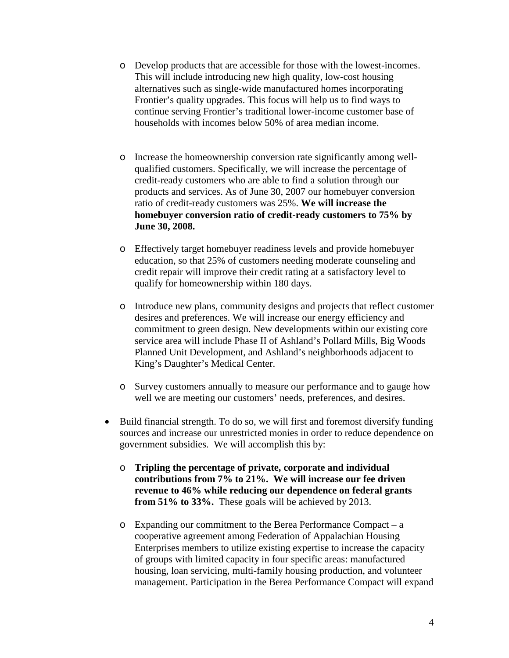- o Develop products that are accessible for those with the lowest-incomes. This will include introducing new high quality, low-cost housing alternatives such as single-wide manufactured homes incorporating Frontier's quality upgrades. This focus will help us to find ways to continue serving Frontier's traditional lower-income customer base of households with incomes below 50% of area median income.
- o Increase the homeownership conversion rate significantly among wellqualified customers. Specifically, we will increase the percentage of credit-ready customers who are able to find a solution through our products and services. As of June 30, 2007 our homebuyer conversion ratio of credit-ready customers was 25%. **We will increase the homebuyer conversion ratio of credit-ready customers to 75% by June 30, 2008.**
- o Effectively target homebuyer readiness levels and provide homebuyer education, so that 25% of customers needing moderate counseling and credit repair will improve their credit rating at a satisfactory level to qualify for homeownership within 180 days.
- o Introduce new plans, community designs and projects that reflect customer desires and preferences. We will increase our energy efficiency and commitment to green design. New developments within our existing core service area will include Phase II of Ashland's Pollard Mills, Big Woods Planned Unit Development, and Ashland's neighborhoods adjacent to King's Daughter's Medical Center.
- o Survey customers annually to measure our performance and to gauge how well we are meeting our customers' needs, preferences, and desires.
- Build financial strength. To do so, we will first and foremost diversify funding sources and increase our unrestricted monies in order to reduce dependence on government subsidies. We will accomplish this by:
	- o **Tripling the percentage of private, corporate and individual contributions from 7% to 21%. We will increase our fee driven revenue to 46% while reducing our dependence on federal grants from 51% to 33%.** These goals will be achieved by 2013.
	- o Expanding our commitment to the Berea Performance Compact a cooperative agreement among Federation of Appalachian Housing Enterprises members to utilize existing expertise to increase the capacity of groups with limited capacity in four specific areas: manufactured housing, loan servicing, multi-family housing production, and volunteer management. Participation in the Berea Performance Compact will expand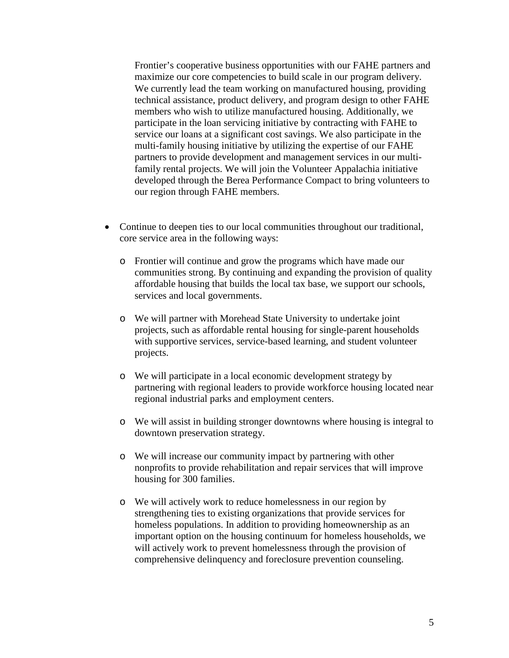Frontier's cooperative business opportunities with our FAHE partners and maximize our core competencies to build scale in our program delivery. We currently lead the team working on manufactured housing, providing technical assistance, product delivery, and program design to other FAHE members who wish to utilize manufactured housing. Additionally, we participate in the loan servicing initiative by contracting with FAHE to service our loans at a significant cost savings. We also participate in the multi-family housing initiative by utilizing the expertise of our FAHE partners to provide development and management services in our multifamily rental projects. We will join the Volunteer Appalachia initiative developed through the Berea Performance Compact to bring volunteers to our region through FAHE members.

- Continue to deepen ties to our local communities throughout our traditional, core service area in the following ways:
	- o Frontier will continue and grow the programs which have made our communities strong. By continuing and expanding the provision of quality affordable housing that builds the local tax base, we support our schools, services and local governments.
	- o We will partner with Morehead State University to undertake joint projects, such as affordable rental housing for single-parent households with supportive services, service-based learning, and student volunteer projects.
	- o We will participate in a local economic development strategy by partnering with regional leaders to provide workforce housing located near regional industrial parks and employment centers.
	- o We will assist in building stronger downtowns where housing is integral to downtown preservation strategy.
	- o We will increase our community impact by partnering with other nonprofits to provide rehabilitation and repair services that will improve housing for 300 families.
	- o We will actively work to reduce homelessness in our region by strengthening ties to existing organizations that provide services for homeless populations. In addition to providing homeownership as an important option on the housing continuum for homeless households, we will actively work to prevent homelessness through the provision of comprehensive delinquency and foreclosure prevention counseling.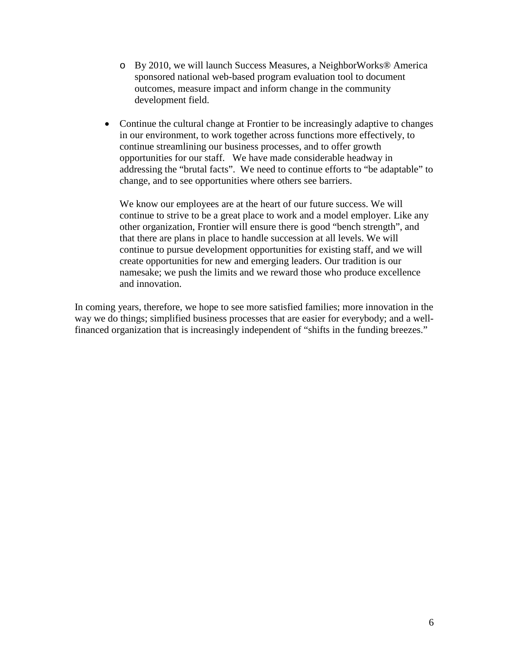- o By 2010, we will launch Success Measures, a NeighborWorks® America sponsored national web-based program evaluation tool to document outcomes, measure impact and inform change in the community development field.
- Continue the cultural change at Frontier to be increasingly adaptive to changes in our environment, to work together across functions more effectively, to continue streamlining our business processes, and to offer growth opportunities for our staff. We have made considerable headway in addressing the "brutal facts". We need to continue efforts to "be adaptable" to change, and to see opportunities where others see barriers.

We know our employees are at the heart of our future success. We will continue to strive to be a great place to work and a model employer. Like any other organization, Frontier will ensure there is good "bench strength", and that there are plans in place to handle succession at all levels. We will continue to pursue development opportunities for existing staff, and we will create opportunities for new and emerging leaders. Our tradition is our namesake; we push the limits and we reward those who produce excellence and innovation.

In coming years, therefore, we hope to see more satisfied families; more innovation in the way we do things; simplified business processes that are easier for everybody; and a wellfinanced organization that is increasingly independent of "shifts in the funding breezes."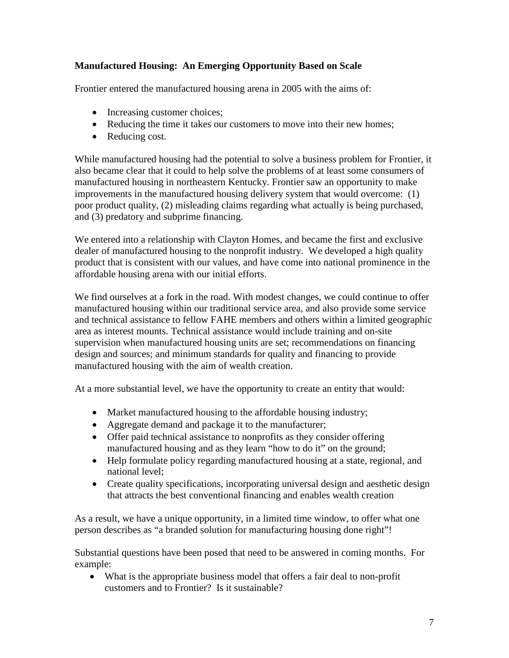# **Manufactured Housing: An Emerging Opportunity Based on Scale**

Frontier entered the manufactured housing arena in 2005 with the aims of:

- Increasing customer choices;
- Reducing the time it takes our customers to move into their new homes;
- Reducing cost.

While manufactured housing had the potential to solve a business problem for Frontier, it also became clear that it could to help solve the problems of at least some consumers of manufactured housing in northeastern Kentucky. Frontier saw an opportunity to make improvements in the manufactured housing delivery system that would overcome: (1) poor product quality, (2) misleading claims regarding what actually is being purchased, and (3) predatory and subprime financing.

We entered into a relationship with Clayton Homes, and became the first and exclusive dealer of manufactured housing to the nonprofit industry. We developed a high quality product that is consistent with our values, and have come into national prominence in the affordable housing arena with our initial efforts.

We find ourselves at a fork in the road. With modest changes, we could continue to offer manufactured housing within our traditional service area, and also provide some service and technical assistance to fellow FAHE members and others within a limited geographic area as interest mounts. Technical assistance would include training and on-site supervision when manufactured housing units are set; recommendations on financing design and sources; and minimum standards for quality and financing to provide manufactured housing with the aim of wealth creation.

At a more substantial level, we have the opportunity to create an entity that would:

- Market manufactured housing to the affordable housing industry;
- Aggregate demand and package it to the manufacturer;
- Offer paid technical assistance to nonprofits as they consider offering manufactured housing and as they learn "how to do it" on the ground;
- Help formulate policy regarding manufactured housing at a state, regional, and national level;
- Create quality specifications, incorporating universal design and aesthetic design that attracts the best conventional financing and enables wealth creation

As a result, we have a unique opportunity, in a limited time window, to offer what one person describes as "a branded solution for manufacturing housing done right"!

Substantial questions have been posed that need to be answered in coming months. For example:

• What is the appropriate business model that offers a fair deal to non-profit customers and to Frontier? Is it sustainable?